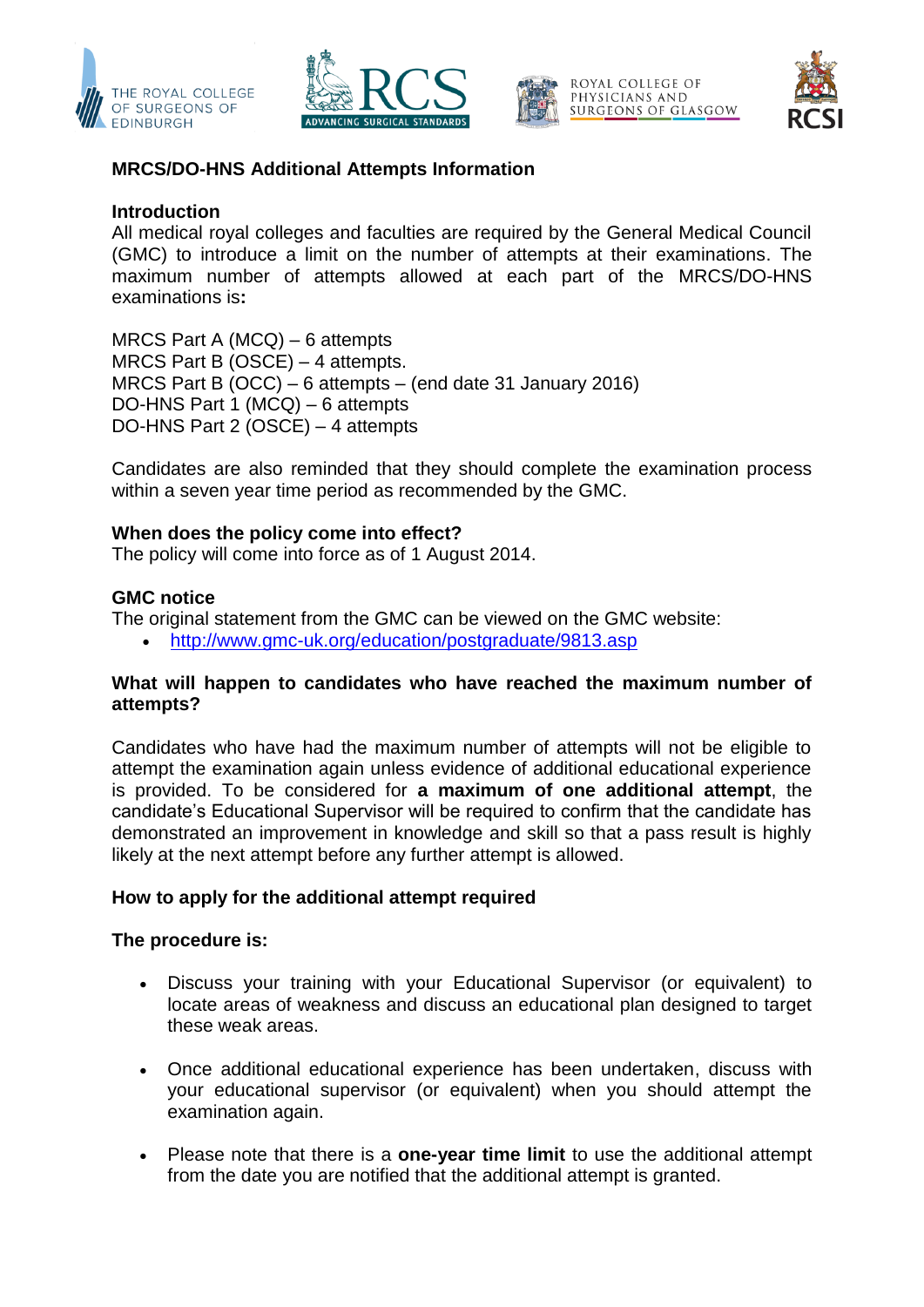







# **MRCS/DO-HNS Additional Attempts Information**

## **Introduction**

All medical royal colleges and faculties are required by the General Medical Council (GMC) to introduce a limit on the number of attempts at their examinations. The maximum number of attempts allowed at each part of the MRCS/DO-HNS examinations is**:**

MRCS Part A (MCQ) – 6 attempts MRCS Part B (OSCE) – 4 attempts. MRCS Part B (OCC) – 6 attempts – (end date 31 January 2016) DO-HNS Part 1 (MCQ) – 6 attempts DO-HNS Part 2 (OSCE) – 4 attempts

Candidates are also reminded that they should complete the examination process within a seven year time period as recommended by the GMC.

### **When does the policy come into effect?**

The policy will come into force as of 1 August 2014.

### **GMC notice**

The original statement from the GMC can be viewed on the GMC website:

<http://www.gmc-uk.org/education/postgraduate/9813.asp>

## **What will happen to candidates who have reached the maximum number of attempts?**

Candidates who have had the maximum number of attempts will not be eligible to attempt the examination again unless evidence of additional educational experience is provided. To be considered for **a maximum of one additional attempt**, the candidate's Educational Supervisor will be required to confirm that the candidate has demonstrated an improvement in knowledge and skill so that a pass result is highly likely at the next attempt before any further attempt is allowed.

#### **How to apply for the additional attempt required**

#### **The procedure is:**

- Discuss your training with your Educational Supervisor (or equivalent) to locate areas of weakness and discuss an educational plan designed to target these weak areas.
- Once additional educational experience has been undertaken, discuss with your educational supervisor (or equivalent) when you should attempt the examination again.
- Please note that there is a **one-year time limit** to use the additional attempt from the date you are notified that the additional attempt is granted.